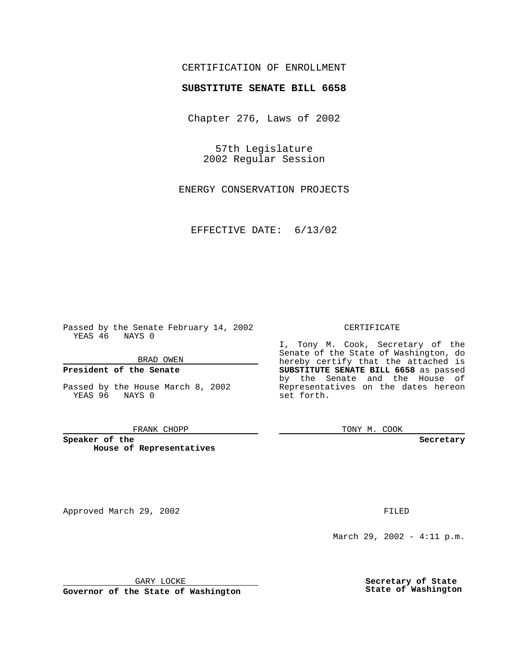# CERTIFICATION OF ENROLLMENT

# **SUBSTITUTE SENATE BILL 6658**

Chapter 276, Laws of 2002

57th Legislature 2002 Regular Session

ENERGY CONSERVATION PROJECTS

EFFECTIVE DATE: 6/13/02

Passed by the Senate February 14, 2002 YEAS 46 NAYS 0

BRAD OWEN

### **President of the Senate**

Passed by the House March 8, 2002 YEAS 96 NAYS 0

#### FRANK CHOPP

**Speaker of the House of Representatives**

Approved March 29, 2002 **FILED** 

#### CERTIFICATE

I, Tony M. Cook, Secretary of the Senate of the State of Washington, do hereby certify that the attached is **SUBSTITUTE SENATE BILL 6658** as passed by the Senate and the House of Representatives on the dates hereon set forth.

TONY M. COOK

**Secretary**

March 29, 2002 - 4:11 p.m.

GARY LOCKE

**Governor of the State of Washington**

**Secretary of State State of Washington**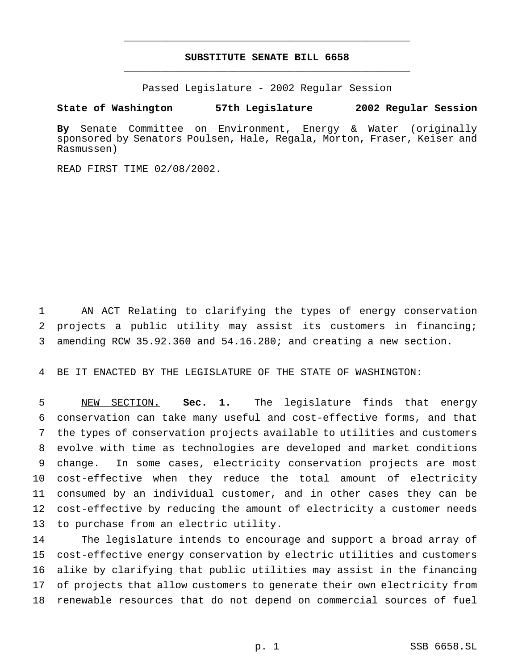# **SUBSTITUTE SENATE BILL 6658** \_\_\_\_\_\_\_\_\_\_\_\_\_\_\_\_\_\_\_\_\_\_\_\_\_\_\_\_\_\_\_\_\_\_\_\_\_\_\_\_\_\_\_\_\_\_\_

\_\_\_\_\_\_\_\_\_\_\_\_\_\_\_\_\_\_\_\_\_\_\_\_\_\_\_\_\_\_\_\_\_\_\_\_\_\_\_\_\_\_\_\_\_\_\_

Passed Legislature - 2002 Regular Session

**State of Washington 57th Legislature 2002 Regular Session**

**By** Senate Committee on Environment, Energy & Water (originally sponsored by Senators Poulsen, Hale, Regala, Morton, Fraser, Keiser and Rasmussen)

READ FIRST TIME 02/08/2002.

 AN ACT Relating to clarifying the types of energy conservation projects a public utility may assist its customers in financing; amending RCW 35.92.360 and 54.16.280; and creating a new section.

BE IT ENACTED BY THE LEGISLATURE OF THE STATE OF WASHINGTON:

 NEW SECTION. **Sec. 1.** The legislature finds that energy conservation can take many useful and cost-effective forms, and that the types of conservation projects available to utilities and customers evolve with time as technologies are developed and market conditions change. In some cases, electricity conservation projects are most cost-effective when they reduce the total amount of electricity consumed by an individual customer, and in other cases they can be cost-effective by reducing the amount of electricity a customer needs to purchase from an electric utility.

 The legislature intends to encourage and support a broad array of cost-effective energy conservation by electric utilities and customers alike by clarifying that public utilities may assist in the financing of projects that allow customers to generate their own electricity from renewable resources that do not depend on commercial sources of fuel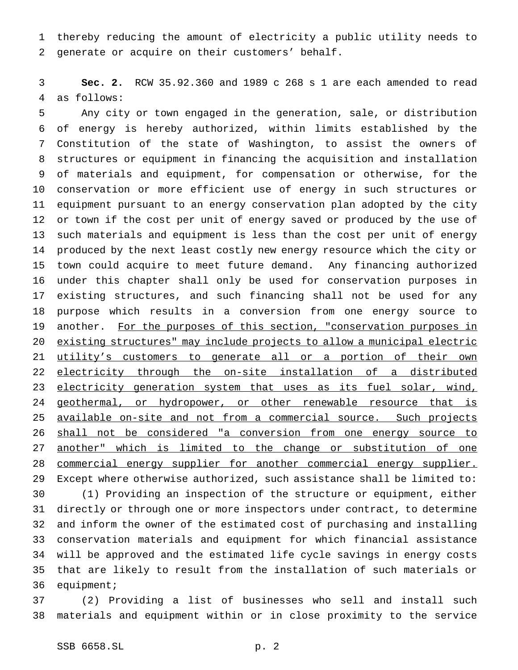thereby reducing the amount of electricity a public utility needs to generate or acquire on their customers' behalf.

 **Sec. 2.** RCW 35.92.360 and 1989 c 268 s 1 are each amended to read as follows:

 Any city or town engaged in the generation, sale, or distribution of energy is hereby authorized, within limits established by the Constitution of the state of Washington, to assist the owners of structures or equipment in financing the acquisition and installation of materials and equipment, for compensation or otherwise, for the conservation or more efficient use of energy in such structures or equipment pursuant to an energy conservation plan adopted by the city or town if the cost per unit of energy saved or produced by the use of such materials and equipment is less than the cost per unit of energy produced by the next least costly new energy resource which the city or town could acquire to meet future demand. Any financing authorized under this chapter shall only be used for conservation purposes in existing structures, and such financing shall not be used for any purpose which results in a conversion from one energy source to 19 another. For the purposes of this section, "conservation purposes in existing structures" may include projects to allow a municipal electric 21 utility's customers to generate all or a portion of their own electricity through the on-site installation of a distributed 23 electricity generation system that uses as its fuel solar, wind, 24 geothermal, or hydropower, or other renewable resource that is 25 available on-site and not from a commercial source. Such projects shall not be considered "a conversion from one energy source to another" which is limited to the change or substitution of one 28 commercial energy supplier for another commercial energy supplier. Except where otherwise authorized, such assistance shall be limited to: (1) Providing an inspection of the structure or equipment, either directly or through one or more inspectors under contract, to determine and inform the owner of the estimated cost of purchasing and installing conservation materials and equipment for which financial assistance

 will be approved and the estimated life cycle savings in energy costs that are likely to result from the installation of such materials or equipment;

 (2) Providing a list of businesses who sell and install such materials and equipment within or in close proximity to the service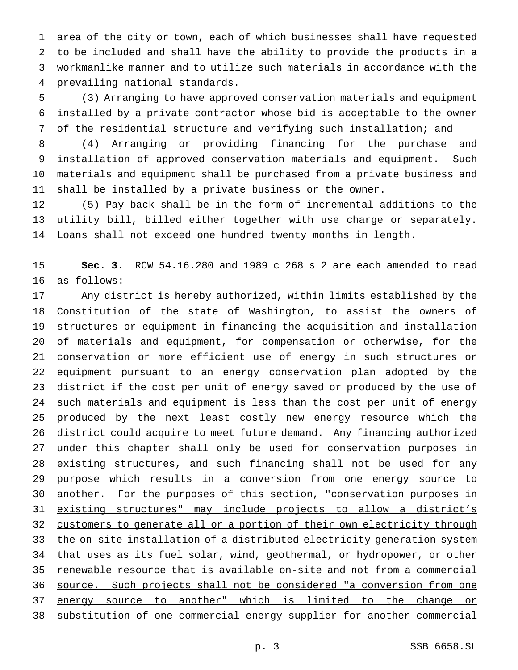area of the city or town, each of which businesses shall have requested to be included and shall have the ability to provide the products in a workmanlike manner and to utilize such materials in accordance with the prevailing national standards.

 (3) Arranging to have approved conservation materials and equipment installed by a private contractor whose bid is acceptable to the owner of the residential structure and verifying such installation; and

 (4) Arranging or providing financing for the purchase and installation of approved conservation materials and equipment. Such materials and equipment shall be purchased from a private business and shall be installed by a private business or the owner.

 (5) Pay back shall be in the form of incremental additions to the utility bill, billed either together with use charge or separately. Loans shall not exceed one hundred twenty months in length.

 **Sec. 3.** RCW 54.16.280 and 1989 c 268 s 2 are each amended to read as follows:

 Any district is hereby authorized, within limits established by the Constitution of the state of Washington, to assist the owners of structures or equipment in financing the acquisition and installation of materials and equipment, for compensation or otherwise, for the conservation or more efficient use of energy in such structures or equipment pursuant to an energy conservation plan adopted by the district if the cost per unit of energy saved or produced by the use of such materials and equipment is less than the cost per unit of energy produced by the next least costly new energy resource which the district could acquire to meet future demand. Any financing authorized under this chapter shall only be used for conservation purposes in existing structures, and such financing shall not be used for any purpose which results in a conversion from one energy source to 30 another. For the purposes of this section, "conservation purposes in existing structures" may include projects to allow a district's 32 customers to generate all or a portion of their own electricity through 33 the on-site installation of a distributed electricity generation system that uses as its fuel solar, wind, geothermal, or hydropower, or other renewable resource that is available on-site and not from a commercial source. Such projects shall not be considered "a conversion from one energy source to another" which is limited to the change or substitution of one commercial energy supplier for another commercial